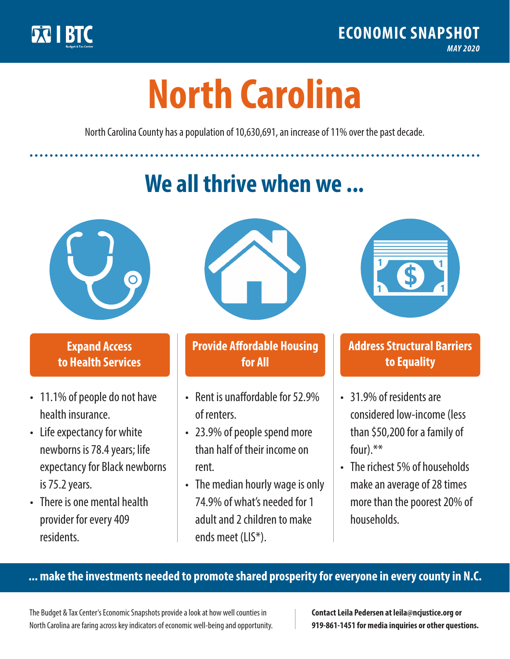

**1**

# **North Carolina**

North Carolina County has a population of 10,630,691, an increase of 11% over the past decade.

## **We all thrive when we ...**



**\$ <sup>1</sup>**

**\$ <sup>1</sup>**

#### **Expand Access to Health Services**

- 11.1% of people do not have health insurance.
- Life expectancy for white newborns is 78.4years; life expectancy for Black newborns is 75.2years.
- There is one mental health provider for every 409 residents.



#### **Provide Affordable Housing for All**

- Rent is unaffordable for 52.9% of renters.
- 23.9% of people spend more than half of their income on rent.
- The median hourly wage is only 74.9% of what's needed for 1 adult and 2 children to make ends meet (LIS\*).



#### **Address Structural Barriers to Equality**

- 31.9% of residents are considered low-income (less than \$50,200 for a family of four).\*\*
- The richest 5% of households make an average of 28 times more than the poorest 20% of households.

#### **... make the investments needed to promote shared prosperity for everyone in every county in N.C.**

The Budget & Tax Center's Economic Snapshots provide a look at how well counties in North Carolina are faring across key indicators of economic well-being and opportunity.